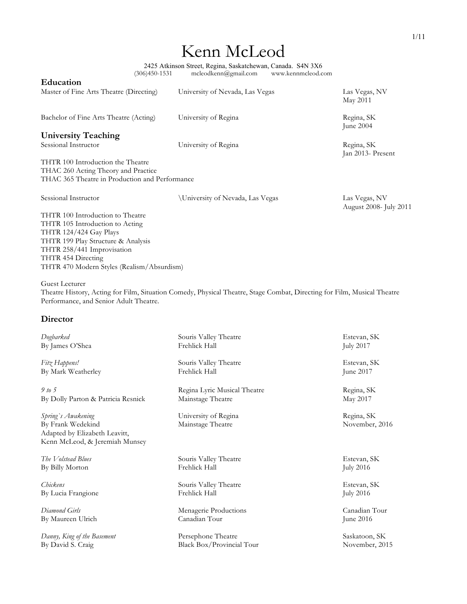# Kenn McLeod

2425 Atkinson Street, Regina, Saskatchewan, Canada. S4N 3X6 (306)450-1531 mcleodkenn@gmail.com www.kennmcleod.com

| Education                                      |                                                                                                                         |                                         |
|------------------------------------------------|-------------------------------------------------------------------------------------------------------------------------|-----------------------------------------|
| Master of Fine Arts Theatre (Directing)        | University of Nevada, Las Vegas                                                                                         | Las Vegas, NV<br>May 2011               |
| Bachelor of Fine Arts Theatre (Acting)         | University of Regina                                                                                                    | Regina, SK<br>June 2004                 |
| <b>University Teaching</b>                     |                                                                                                                         |                                         |
| Sessional Instructor                           | University of Regina                                                                                                    | Regina, SK<br>Jan 2013- Present         |
| THTR 100 Introduction the Theatre              |                                                                                                                         |                                         |
| THAC 260 Acting Theory and Practice            |                                                                                                                         |                                         |
| THAC 365 Theatre in Production and Performance |                                                                                                                         |                                         |
| Sessional Instructor                           | University of Nevada, Las Vegas                                                                                         | Las Vegas, NV<br>August 2008- July 2011 |
| THTR 100 Introduction to Theatre               |                                                                                                                         |                                         |
| THTR 105 Introduction to Acting                |                                                                                                                         |                                         |
| THTR 124/424 Gay Plays                         |                                                                                                                         |                                         |
| THTR 199 Play Structure & Analysis             |                                                                                                                         |                                         |
| THTR 258/441 Improvisation                     |                                                                                                                         |                                         |
| THTR 454 Directing                             |                                                                                                                         |                                         |
| THTR 470 Modern Styles (Realism/Absurdism)     |                                                                                                                         |                                         |
| Guest Lecturer                                 |                                                                                                                         |                                         |
|                                                | Theatre History, Acting for Film, Situation Comedy, Physical Theatre, Stage Combat, Directing for Film, Musical Theatre |                                         |
| Performance, and Senior Adult Theatre.         |                                                                                                                         |                                         |
| Director                                       |                                                                                                                         |                                         |

## *Dogbarked* Souris Valley Theatre Estevan, SK Estevan, SK Estevan, SK Estevan, SK Estevan, SK Estevan, SK Estevan, SK By James O'Shea Frehlick Hall July 2017 *Fitz Happens!* Souris Valley Theatre Estevan, SK Estevan, SK Estevan, SK Estevan, SK Estevan, SK By Mark Weatherley **Frehlick Hall** June 2017 *9 to 5* Regina Lyric Musical Theatre Regina, SK By Dolly Parton & Patricia Resnick Mainstage Theatre May 2017 *Spring`s Awakening* SK University of Regina SK Regina, SK By Frank Wedekind Mainstage Theatre November, 2016 Adapted by Elizabeth Leavitt, Kenn McLeod, & Jeremiah Munsey *The Volstead Blues* Souris Valley Theatre **Souris Valley Theatre** Estevan, SK Estevan, SK By Billy Morton **Estevan, SK** By Billy Morton Frehlick Hall July 2016 *Chickens* Souris Valley Theatre Estevan, SK By Lucia Frangione Frehlick Hall July 2016 *Diamond Girls* Menagerie Productions Canadian Tour By Maureen Ulrich Canadian Tour June 2016 *Danny, King of the Basement* Persephone Theatre Saskatoon, SK Black Box/Provincial Tour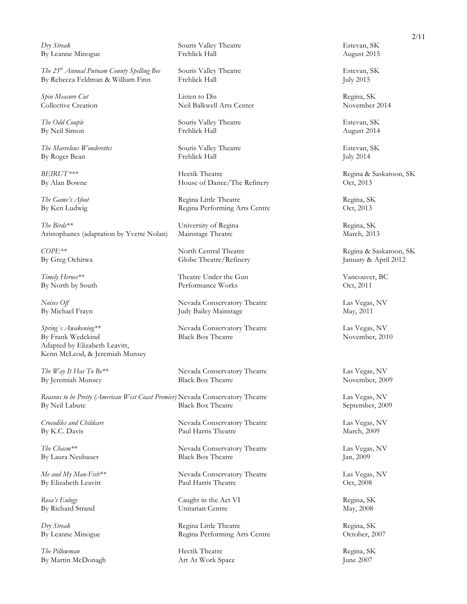*Dry Streak* Souris Valley Theatre Estevan, SK

*The 25<sup>th</sup> Annual Putnam County Spelling Bee* Souris Valley Theatre Estevan, SK Estevan, SK By Rebecca Feldman & William Finn Frehlick Hall By Rebecca Feldman & William Finn Frehlick Hall July 2015

*The Marvelous Wonderettes* Souris Valley Theatre Estevan, SK By Roger Bean Frehlick Hall July 2014

The Birds\*\* Sexteen State University of Regina Regina Regina, SK Aristophanes (adaptation by Yvette Nolan) Mainstage Theatre March, 2013

*Spring`s Awakening\*\** Nevada Conservatory Theatre Las Vegas, NV By Frank Wedekind Black Box Theatre November, 2010 Adapted by Elizabeth Leavitt, Kenn McLeod, & Jeremiah Munsey

*Reasons to be Pretty (American West Coast Premier)* Nevada Conservatory Theatre Las Vegas, NV By Neil Labute Black Box Theatre September, 2009

*The Pillowman* Regina, SK Regina, SK By Martin McDonagh Art At Work Space June 2007

By Leanne Minogue **Frehlick Hall** Frehlick Hall **August 2015** 

*Spin Measure Cut* Listen to Dis Regina, SK Collective Creation Neil Balkwell Arts Center

*The Odd Couple* Estevan, SK Souris Valley Theatre Estevan, SK By Neil Simon Frehlick Hall August 2014

*BEIRUT\*\*\** **Example 3** Hectik Theatre **Regina & Saskatoon, SK** By Alan Bowne **House of Dance/The Refinery** Oct, 2013

*The Game's Afoot* Regina Little Theatre Regina Regina, SK By Ken Ludwig **Regina Performing Arts Centre** Oct, 2013

*COPE\*\** North Central Theatre Regina & Saskatoon, SK By Greg Ochitwa Globe Theatre/Refinery January & April 2012

Timely Heroes\*\* Theatre Under the Gun Vancouver, BC By North by South Performance Works Oct, 2011

*Noises Off* **Nevada Conservatory Theatre** Las Vegas, NV By Michael Frayn Tudy Bailey Mainstage May, 2011

*The Way It Has To Be\*\** Nevada Conservatory Theatre Las Vegas, NV By Jeremiah Munsey Black Box Theatre November, 2009

*Crocodiles and Childcare* Nevada Conservatory Theatre Las Vegas, NV By K.C. Davis Paul Harris Theatre March, 2009

*The Chasm\*\** Nevada Conservatory Theatre Las Vegas, NV By Laura Neubauer Black Box Theatre Jan, 2009

*Me and My Man-Fish\*\** Nevada Conservatory Theatre Las Vegas, NV By Elizabeth Leavitt Paul Harris Theatre Oct, 2008

Rosa's Eulogy **Caught in the Act VI** Regina, SK By Richard Strand Unitarian Centre May, 2008

*Dry Streak* Regina Little Theatre Regina Little Theatre Regina, SK By Leanne Minogue Regina Performing Arts Centre October, 2007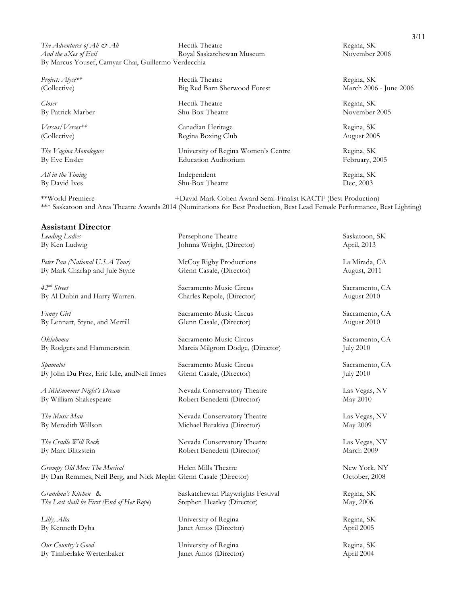*The Adventures of Ali & Ali* Hectik Theatre Regina, SK *And the aXes of Evil* **Royal Saskatchewan Museum** November 2006 By Marcus Yousef, Camyar Chai, Guillermo Verdecchia

*Closer* Hectik Theatre Regina, SK By Patrick Marber Shu-Box Theatre November 2005

*All in the Timing* Regina, SK **Independent** Regina, SK

*Project: Alyce\*\** Regina, SK (Collective) Big Red Barn Sherwood Forest March 2006 - June 2006

*Versus/Verses\*\** Canadian Heritage Regina, SK (Collective) Regina Boxing Club August 2005

*The Vagina Monologues* University of Regina Women's Centre Regina, SK By Eve Ensler **Education Auditorium** February, 2005

By David Ives Shu-Box Theatre Dec, 2003

\*\*World Premiere +David Mark Cohen Award Semi-Finalist KACTF (Best Production) \*\*\* Saskatoon and Area Theatre Awards 2014 (Nominations for Best Production, Best Lead Female Performance, Best Lighting)

#### **Assistant Director**

*Peter Pan (National U.S.A Tour)* McCoy Rigby Productions La Mirada, CA By Mark Charlap and Jule Styne Glenn Casale, (Director) August, 2011

*42nd Street* Sacramento Music Circus Sacramento, CA By Al Dubin and Harry Warren. Charles Repole, (Director) August 2010

*Funny Girl* Sacramento Music Circus Sacramento, CA By Lennart, Styne, and Merrill Glenn Casale, (Director) August 2010

*Oklahoma* Sacramento Music Circus Sacramento, CA

Spamalot Sacramento Music Circus Sacramento, CA By John Du Prez, Eric Idle, andNeil Innes Glenn Casale, (Director) July 2010

*A Midsummer Night's Dream* Nevada Conservatory Theatre Las Vegas, NV

*Grumpy Old Men: The Musical* Helen Mills Theatre New York, NY By Dan Remmes, Neil Berg, and Nick Meglin Glenn Casale (Director) October, 2008

*The Last shall be First (End of Her Rope*) Stephen Heatley (Director) May, 2006

*Our Country's Good* University of Regina Regina Regina, SK By Timberlake Wertenbaker Janet Amos (Director) April 2004

*Leading Ladies* Persephone Theatre Saskatoon, SK By Ken Ludwig Johnna Wright, (Director) April, 2013

By Rodgers and Hammerstein Marcia Milgrom Dodge, (Director) July 2010

By William Shakespeare Robert Benedetti (Director) May 2010

*The Music Man* **Newala Conservatory Theatre** Las Vegas, NV By Meredith Willson Michael Barakiva (Director) May 2009

*The Cradle Will Rock* Nevada Conservatory Theatre Las Vegas, NV By Marc Blitzstein Robert Benedetti (Director) March 2009

*Grandma's Kitchen* & Saskatchewan Playwrights Festival Regina, SK

*Lilly, Alta* Regina, SK **University of Regina** Regina, Regina, SK By Kenneth Dyba Janet Amos (Director) April 2005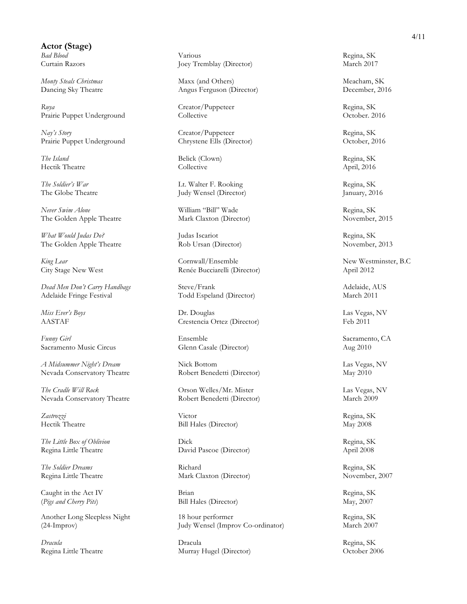**Actor (Stage)**

*Ruya* Regina, SK Creator/Puppeteer Regina, SK Prairie Puppet Underground Collective Collective Collective October. 2016

*Nay's Story* Regina, SK Prairie Puppet Underground Chrystene Ells (Director) October, 2016

**The Island** Regina, SK Regina, SK Hectik Theatre Collective April, 2016

*Never Swim Alone* Regina, SK *William* "Bill" Wade Regina, SK The Golden Apple Theatre Mark Claxton (Director) November, 2015

*What Would Judas Do?* Judas Iscariot Regina, SK The Golden Apple Theatre Rob Ursan (Director) November, 2013

*Dead Men Don't Carry Handbags* Steve/Frank Adelaide, AUS Adelaide Fringe Festival Todd Espeland (Director) March 2011

*Funny Girl* Sacramento, CA **Ensemble** Sacramento, CA Sacramento, CA Sacramento Music Circus Glenn Casale (Director) Aug 2010

*A Midsummer Night's Dream* Nick Bottom Nick Bottom Las Vegas, NV Nevada Conservatory Theatre Robert Benedetti (Director) May 2010

*The Cradle Will Rock* Orson Welles/Mr. Mister Las Vegas, NV Nevada Conservatory Theatre Robert Benedetti (Director) March 2009

Caught in the Act IV Brian Brian Regina, SK (*Pigs and Cherry Pits*) Bill Hales (Director) May, 2007

*Bad Blood* Regina, SK **Regina, SK** Curtain Razors Joey Tremblay (Director) March 2017

*Monty Steals Christmas* Maxx (and Others) Meacham, SK Dancing Sky Theatre Angus Ferguson (Director) December, 2016

*The Soldier's War* **Example 2** Lt. Walter F. Rooking Regina, SK Regina, SK Regina, SK Regina, SK Regina, SK Regina, SK Regina, SK Regina, SK Regina, SK Regina, SK Regina, SK Regina, SK Regina, SK Regina, SK Regina, SK Reg Judy Wensel (Director) January, 2016

*King Lear* **Cornwall**/Ensemble **New Westminster, B.C. New Westminster, B.C.** City Stage New West Renée Bucciarelli (Director) April 2012

*Miss Ever's Boys* Las Vegas, NV and Las Vegas, NV and Las Vegas, NV and Las Vegas, NV and Las Vegas, NV and Las Vegas, NV and Las Vegas, NV and Las Vegas, NV and Las Vegas, NV and Las Vegas, NV and Las Vegas, NV and Las V AASTAF Crestencia Ortez (Director) Feb 2011

*Zastrozzi* Victor Regina, SK Hectik Theatre Bill Hales (Director) May 2008

*The Little Box of Oblivion* Dick Dick Regina, SK Regina Little Theatre David Pascoe (Director) April 2008

**The Soldier Dreams** Richard Richard Regina, SK Regina Little Theatre Mark Claxton (Director) November, 2007

Another Long Sleepless Night 18 hour performer and the Regina, SK (24-Improv) Judy Wensel (Improv Co-ordinator) March 2007

*Dracula* Dracula Regina, SK Regina Little Theatre Murray Hugel (Director) October 2006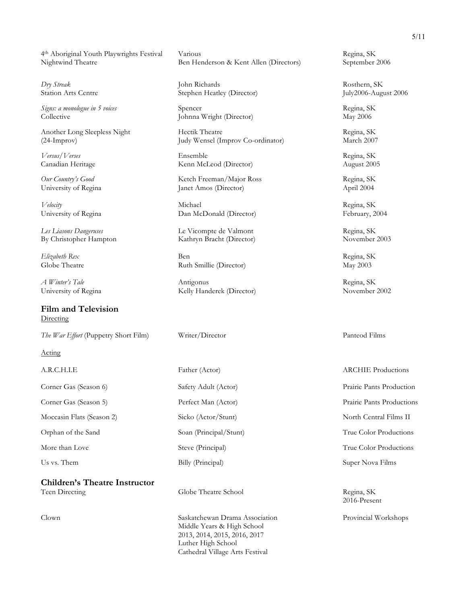4th Aboriginal Youth Playwrights Festival Various Regina, SK

Collective Johnna Wright (Director) May 2006

*Les Liasons Dangeruses* Le Vicompte de Valmont Regina, SK

**Film and Television Directing** 

*The War Effort* (Puppetry Short Film) Writer/Director Panteod Films

Acting

**Children's Theatre Instructor** Teen Directing Globe Theatre School Regina, SK

Nightwind Theatre Ben Henderson & Kent Allen (Directors) September 2006

*Dry Streak* Rosthern, SK **John Richards John Richards** Rosthern, SK Station Arts Centre Stephen Heatley (Director) July2006-August 2006

*Signs: a monologue in 5 voices* Spencer Regina, SK

Another Long Sleepless Night Hectik Theatre Regina, SK (24-Improv) Judy Wensel (Improv Co-ordinator) March 2007

*Versus/Verses* Ensemble Regina, SK Canadian Heritage Kenn McLeod (Director) August 2005

*Our Country's Good* Ketch Freeman/Major Ross Regina, SK University of Regina Janet Amos (Director) April 2004

*Velocity* Regina, SK University of Regina Dan McDonald (Director) February, 2004

By Christopher Hampton Kathryn Bracht (Director) November 2003

*Elizabeth Rex* Regina, SK Globe Theatre **Ruth Smillie (Director)** May 2003

*A Winter's Tale* **Regina, SK Antigonus Regina, SK** University of Regina Kelly Handerek (Director) November 2002

Corner Gas (Season 6) Safety Adult (Actor) Prairie Pants Production Corner Gas (Season 5) Perfect Man (Actor) Prairie Pants Productions Moccasin Flats (Season 2) Sicko (Actor/Stunt) North Central Films II Orphan of the Sand Soan (Principal/Stunt) True Color Productions More than Love Steve (Principal) Steve (Principal) True Color Productions Us vs. Them Billy (Principal) Super Nova Films

Clown Saskatchewan Drama Association Provincial Workshops Middle Years & High School 2013, 2014, 2015, 2016, 2017 Luther High School Cathedral Village Arts Festival

A.R.C.H.I.E Father (Actor) Father (Actor) ARCHIE Productions

2016-Present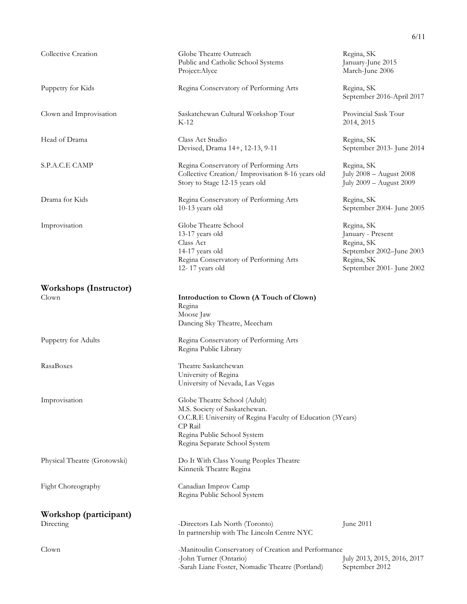|                                        |                                                                                                                                                                                                        | 6/11                                                                                                                 |
|----------------------------------------|--------------------------------------------------------------------------------------------------------------------------------------------------------------------------------------------------------|----------------------------------------------------------------------------------------------------------------------|
| Collective Creation                    | Globe Theatre Outreach<br>Public and Catholic School Systems<br>Project:Alyce                                                                                                                          | Regina, SK<br>January-June 2015<br>March-June 2006                                                                   |
| Puppetry for Kids                      | Regina Conservatory of Performing Arts                                                                                                                                                                 | Regina, SK<br>September 2016-April 2017                                                                              |
| Clown and Improvisation                | Saskatchewan Cultural Workshop Tour<br>$K-12$                                                                                                                                                          | Provincial Sask Tour<br>2014, 2015                                                                                   |
| Head of Drama                          | Class Act Studio<br>Devised, Drama 14+, 12-13, 9-11                                                                                                                                                    | Regina, SK<br>September 2013- June 2014                                                                              |
| S.P.A.C.E CAMP                         | Regina Conservatory of Performing Arts<br>Collective Creation/ Improvisation 8-16 years old<br>Story to Stage 12-15 years old                                                                          | Regina, SK<br>July 2008 - August 2008<br>July 2009 - August 2009                                                     |
| Drama for Kids                         | Regina Conservatory of Performing Arts<br>10-13 years old                                                                                                                                              | Regina, SK<br>September 2004- June 2005                                                                              |
| Improvisation                          | Globe Theatre School<br>13-17 years old<br>Class Act<br>14-17 years old<br>Regina Conservatory of Performing Arts<br>12-17 years old                                                                   | Regina, SK<br>January - Present<br>Regina, SK<br>September 2002-June 2003<br>Regina, SK<br>September 2001- June 2002 |
| <b>Workshops (Instructor)</b><br>Clown | Introduction to Clown (A Touch of Clown)<br>Regina<br>Moose Jaw<br>Dancing Sky Theatre, Meecham                                                                                                        |                                                                                                                      |
| Puppetry for Adults                    | Regina Conservatory of Performing Arts<br>Regina Public Library                                                                                                                                        |                                                                                                                      |
| RasaBoxes                              | Theatre Saskatchewan<br>University of Regina<br>University of Nevada, Las Vegas                                                                                                                        |                                                                                                                      |
| Improvisation                          | Globe Theatre School (Adult)<br>M.S. Society of Saskatchewan.<br>O.C.R.E University of Regina Faculty of Education (3Years)<br>CP Rail<br>Regina Public School System<br>Regina Separate School System |                                                                                                                      |
| Physical Theatre (Grotowski)           | Do It With Class Young Peoples Theatre<br>Kinnetik Theatre Regina                                                                                                                                      |                                                                                                                      |
| Fight Choreography                     | Canadian Improv Camp<br>Regina Public School System                                                                                                                                                    |                                                                                                                      |
| Workshop (participant)<br>Directing    | -Directors Lab North (Toronto)<br>In partnership with The Lincoln Centre NYC                                                                                                                           | June 2011                                                                                                            |
| Clown                                  | -Manitoulin Conservatory of Creation and Performance<br>-John Turner (Ontario)<br>-Sarah Liane Foster, Nomadic Theatre (Portland)                                                                      | July 2013, 2015, 2016, 2017<br>September 2012                                                                        |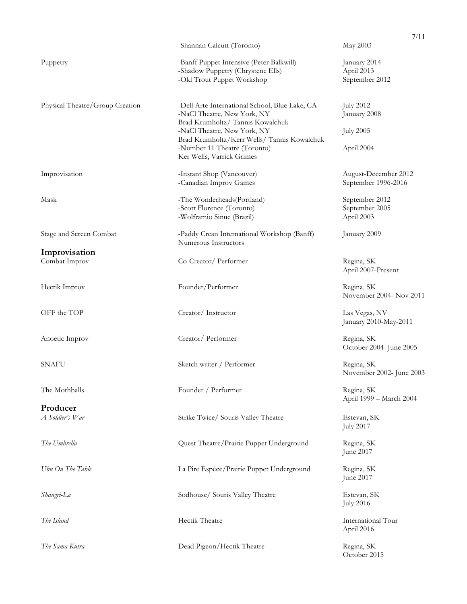|                                 | -Shannan Calcutt (Toronto)                                                  | 7/11<br>May 2003                 |
|---------------------------------|-----------------------------------------------------------------------------|----------------------------------|
|                                 |                                                                             |                                  |
| Puppetry                        | -Banff Puppet Intensive (Peter Balkwill)                                    | January 2014                     |
|                                 | -Shadow Puppetry (Chrystene Ells)<br>-Old Trout Puppet Workshop             | April 2013<br>September 2012     |
|                                 |                                                                             |                                  |
| Physical Theatre/Group Creation | -Dell Arte International School, Blue Lake, CA                              | <b>July 2012</b>                 |
|                                 | -NaCl Theatre, New York, NY<br>Brad Krumholtz/ Tannis Kowalchuk             | January 2008                     |
|                                 | -NaCl Theatre, New York, NY                                                 | <b>July 2005</b>                 |
|                                 | Brad Krumholtz/Kerr Wells/ Tannis Kowalchuk<br>-Number 11 Theatre (Toronto) |                                  |
|                                 | Ker Wells, Varrick Grimes                                                   | April 2004                       |
| Improvisation                   | -Instant Shop (Vancouver)                                                   | August-December 2012             |
|                                 | -Canadian Improv Games                                                      | September 1996-2016              |
| Mask                            | -The Wonderheads (Portland)                                                 | September 2012                   |
|                                 | -Scott Florence (Toronto)<br>-Wolframio Sinue (Brazil)                      | September 2005<br>April 2003     |
|                                 |                                                                             |                                  |
| Stage and Screen Combat         | -Paddy Crean International Workshop (Banff)<br>Numerous Instructors         | January 2009                     |
| Improvisation                   |                                                                             |                                  |
| Combat Improv                   | Co-Creator/Performer                                                        | Regina, SK<br>April 2007-Present |
|                                 |                                                                             |                                  |
| Hectik Improv                   | Founder/Performer                                                           | Regina, SK                       |
|                                 |                                                                             | November 2004- Nov 2011          |
| OFF the TOP                     | Creator/Instructor                                                          | Las Vegas, NV                    |
|                                 |                                                                             | January 2010-May-2011            |
| Anoetic Improv                  | Creator/Performer                                                           | Regina, SK                       |
|                                 |                                                                             | October 2004-June 2005           |
| <b>SNAFU</b>                    | Sketch writer / Performer                                                   | Regina, SK                       |
|                                 |                                                                             | November 2002- June 2003         |
| The Mothballs                   | Founder / Performer                                                         | Regina, SK                       |
| Producer                        |                                                                             | April 1999 - March 2004          |
| A Soldier's War                 | Strike Twice/ Souris Valley Theatre                                         | Estevan, SK                      |
|                                 |                                                                             | <b>July 2017</b>                 |
| The Umbrella                    | Quest Theatre/Prairie Puppet Underground                                    | Regina, SK                       |
|                                 |                                                                             | June 2017                        |
| Ubu On The Table                | La Pire Espèce/Prairie Puppet Underground                                   | Regina, SK                       |
|                                 |                                                                             | June 2017                        |
| Shangri-La                      | Sodhouse/ Souris Valley Theatre                                             | Estevan, SK                      |
|                                 |                                                                             | <b>July 2016</b>                 |
| The Island                      | Hectik Theatre                                                              | International Tour               |
|                                 |                                                                             | April 2016                       |
| The Sama Kutra                  | Dead Pigeon/Hectik Theatre                                                  | Regina, SK                       |
|                                 |                                                                             | October 2015                     |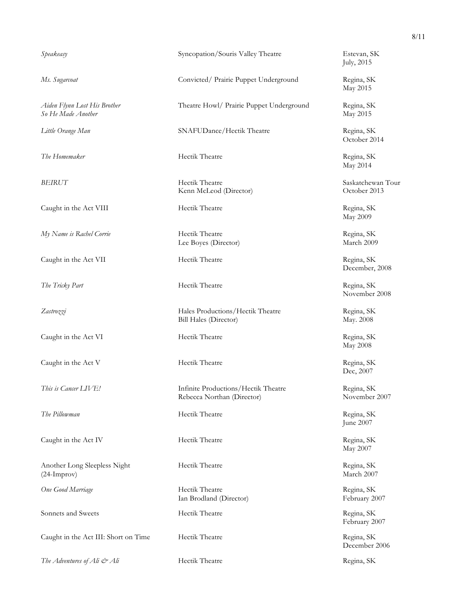*So He Made Another* May 2015

Caught in the Act VIII **Hectik Theatre Regina, SK** 

*My Name is Rachel Corrie* **Hectik Theatre Hectical Corrie Regina, SK** 

Caught in the Act VII **Hectik Theatre Regina, SK** 

*The Tricky Part* **Hectik Theatre Hectik Theatre Regina, SK** 

Caught in the Act VI **Hectik Theatre Regina, SK** 

Caught in the Act V Hectik Theatre Regina, SK

**The Pillowman** Regina, SK Regina, SK

Caught in the Act IV Hectik Theatre Regina, SK

Another Long Sleepless Night Hectik Theatre Regina, SK (24-Improv) March 2007

Sonnets and Sweets **Example 2018** Hectik Theatre **Reginal SK** Regina, SK

Caught in the Act III: Short on Time Hectik Theatre Regina, SK

*The Adventures of Ali & Ali* Hectik Theatre Regina, SK

*Speakeasy* Estevan, SK Syncopation/Souris Valley Theatre Estevan, SK

*Ms. Sugarcoat* Convicted/ Prairie Puppet Underground Regina, SK

*Aiden Flynn Lost His Brother* Theatre Howl/ Prairie Puppet Underground Regina, SK

*Little Orange Man* SNAFUDance*/*Hectik Theatre Regina, SK

*The Homemaker* Regina, SK Regina, SK

**BEIRUT** Saskatchewan Tour Kenn McLeod (Director) October 2013

Lee Boyes (Director) March 2009

Zastrozzi **Example 2018** Hales Productions/Hectik Theatre Regina, SK Bill Hales (Director) May. 2008

*This is Cancer LIVE!* The Infinite Productions/Hectik Theatre Regina, SK Rebecca Northan (Director) November 2007

*One Good Marriage* Hectik Theatre Regina, SK Ian Brodland (Director) February 2007

July, 2015

May 2015

October 2014

May 2014

May 2009

December, 2008

November 2008

May 2008

Dec, 2007

June 2007

May 2007

February 2007

December 2006

8/11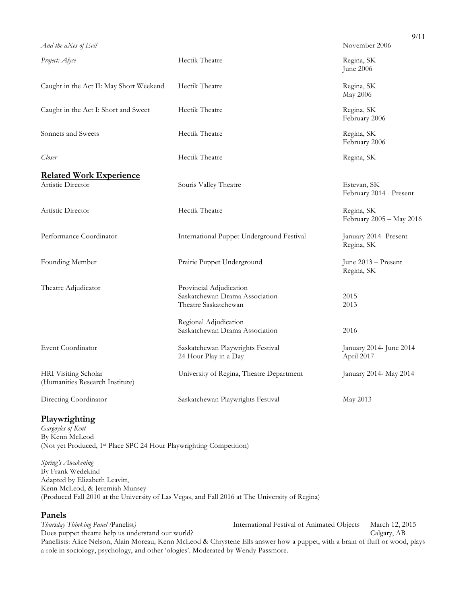|                                                                                   | 9/11                                   |
|-----------------------------------------------------------------------------------|----------------------------------------|
|                                                                                   | November 2006                          |
| Hectik Theatre                                                                    | Regina, SK<br>June 2006                |
| Hectik Theatre                                                                    | Regina, SK<br>May 2006                 |
| Hectik Theatre                                                                    | Regina, SK<br>February 2006            |
| Hectik Theatre                                                                    | Regina, SK<br>February 2006            |
| Hectik Theatre                                                                    | Regina, SK                             |
|                                                                                   |                                        |
| Souris Valley Theatre                                                             | Estevan, SK<br>February 2014 - Present |
| Hectik Theatre                                                                    | Regina, SK<br>February 2005 - May 2016 |
| International Puppet Underground Festival                                         | January 2014- Present<br>Regina, SK    |
| Prairie Puppet Underground                                                        | June 2013 - Present<br>Regina, SK      |
| Provincial Adjudication<br>Saskatchewan Drama Association<br>Theatre Saskatchewan | 2015<br>2013                           |
| Regional Adjudication<br>Saskatchewan Drama Association                           | 2016                                   |
| Saskatchewan Playwrights Festival<br>24 Hour Play in a Day                        | January 2014- June 2014<br>April 2017  |
| University of Regina, Theatre Department                                          | January 2014- May 2014                 |
| Saskatchewan Playwrights Festival                                                 | May 2013                               |
|                                                                                   |                                        |

### **Playwrighting**

*Gargoyles of Kent* By Kenn McLeod (Not yet Produced, 1st Place SPC 24 Hour Playwrighting Competition)

*Spring's Awakening*  By Frank Wedekind Adapted by Elizabeth Leavitt, Kenn McLeod, & Jeremiah Munsey (Produced Fall 2010 at the University of Las Vegas, and Fall 2016 at The University of Regina)

**Panels**<br>Thursday Thinking Panel (Panelist) International Festival of Animated Objects March 12, 2015 Does puppet theatre help us understand our world? Calgary, AB Panellists: Alice Nelson, Alain Moreau, Kenn McLeod & Chrystene Ells answer how a puppet, with a brain of fluff or wood, plays a role in sociology, psychology, and other 'ologies'. Moderated by Wendy Passmore.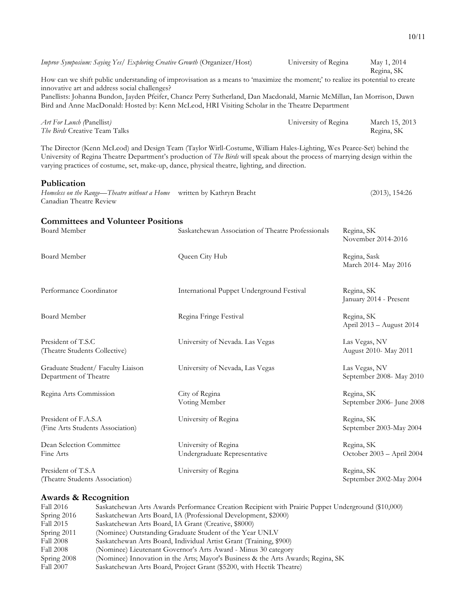*Improv Symposium: Saying Yes/ Exploring Creative Growth* (Organizer/Host) University of Regina May 1, 2014 Regina, SK How can we shift public understanding of improvisation as a means to 'maximize the moment;' to realize its potential to create innovative art and address social challenges? Panellists: Johanna Bundon, Jayden Pfeifer, Chancz Perry Sutherland, Dan Macdonald, Marnie McMillan, Ian Morrison, Dawn Bird and Anne MacDonald: Hosted by: Kenn McLeod, HRI Visiting Scholar in the Theatre Department *Art For Lunch (*Panellist*)* University of Regina March 15, 2013 *The Birds* Creative Team Talks Regina, SK The Director (Kenn McLeod) and Design Team (Taylor Wirll-Costume, William Hales-Lighting, Wes Pearce-Set) behind the University of Regina Theatre Department's production of *The Birds* will speak about the process of marrying design within the varying practices of costume, set, make-up, dance, physical theatre, lighting, and direction. **Publication** *Homeless on the Range—Theatre without a Home* written by Kathryn Bracht (2013), 154:26 Canadian Theatre Review **Committees and Volunteer Positions**<br>Board Member Saskatchewan Association of Theatre Professionals Regina, SK November 2014-2016 Board Member Queen City Hub Regina, Sask March 2014- May 2016 Performance Coordinator **International Puppet Underground Festival Regina, SK** January 2014 - Present Board Member Regina Fringe Festival Regina, SK April 2013 – August 2014 President of T.S.C University of Nevada. Las Vegas Las Vegas, NV (Theatre Students Collective) August 2010- May 2011 Graduate Student/ Faculty Liaison University of Nevada, Las Vegas Las Vegas, NV Department of Theatre September 2008- May 2010 Regina Arts Commission City of Regina Regina, SK Voting Member September 2006- June 2008 President of F.A.S.A University of Regina Regina, SK Regina, SK Regina, SK Students Association) Chiversity of Regina Regina, SK September 2003-May 2004 (Fine Arts Students Association) Dean Selection Committee University of Regina Regina, SK Fine Arts Undergraduate Representative October 2003 – April 2004 President of T.S.A University of Regina Regina Regina, SK (Theatre Students Association) September 2002-May 2004

#### **Awards & Recognition**

| Fall 2016        | Saskatchewan Arts Awards Performance Creation Recipient with Prairie Puppet Underground (\$10,000) |
|------------------|----------------------------------------------------------------------------------------------------|
| Spring 2016      | Saskatchewan Arts Board, IA (Professional Development, \$2000)                                     |
| Fall 2015        | Saskatchewan Arts Board, IA Grant (Creative, \$8000)                                               |
| Spring 2011      | (Nominee) Outstanding Graduate Student of the Year UNLV                                            |
| <b>Fall 2008</b> | Saskatchewan Arts Board, Individual Artist Grant (Training, \$900)                                 |
| <b>Fall 2008</b> | (Nominee) Lieutenant Governor's Arts Award - Minus 30 category                                     |
| $Spring\ 2008$   | (Nominee) Innovation in the Arts; Mayor's Business & the Arts Awards; Regina, SK                   |
| <b>Fall 2007</b> | Saskatchewan Arts Board, Project Grant (\$5200, with Hectik Theatre)                               |